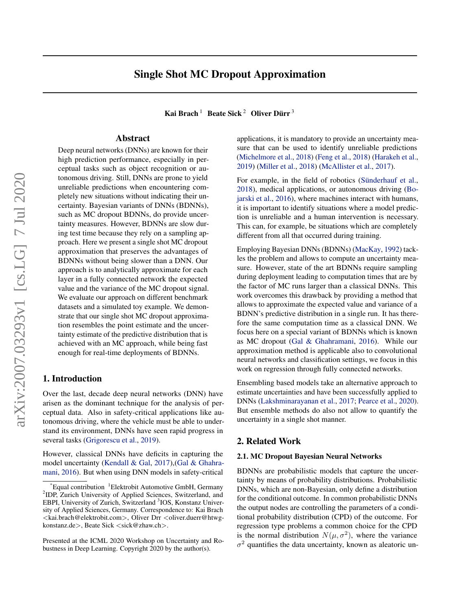# Single Shot MC Dropout Approximation

Kai Brach  $^1$  Beate Sick  $^2$  Oliver Dürr  $^3$ 

### Abstract

Deep neural networks (DNNs) are known for their high prediction performance, especially in perceptual tasks such as object recognition or autonomous driving. Still, DNNs are prone to yield unreliable predictions when encountering completely new situations without indicating their uncertainty. Bayesian variants of DNNs (BDNNs), such as MC dropout BDNNs, do provide uncertainty measures. However, BDNNs are slow during test time because they rely on a sampling approach. Here we present a single shot MC dropout approximation that preserves the advantages of BDNNs without being slower than a DNN. Our approach is to analytically approximate for each layer in a fully connected network the expected value and the variance of the MC dropout signal. We evaluate our approach on different benchmark datasets and a simulated toy example. We demonstrate that our single shot MC dropout approximation resembles the point estimate and the uncertainty estimate of the predictive distribution that is achieved with an MC approach, while being fast enough for real-time deployments of BDNNs.

### 1. Introduction

Over the last, decade deep neural networks (DNN) have arisen as the dominant technique for the analysis of perceptual data. Also in safety-critical applications like autonomous driving, where the vehicle must be able to understand its environment, DNNs have seen rapid progress in several tasks [\(Grigorescu et al.,](#page-4-0) [2019\)](#page-4-0).

However, classical DNNs have deficits in capturing the model uncertainty [\(Kendall & Gal,](#page-4-0) [2017\)](#page-4-0),[\(Gal & Ghahra](#page-4-0)[mani,](#page-4-0) [2016\)](#page-4-0). But when using DNN models in safety-critical

applications, it is mandatory to provide an uncertainty measure that can be used to identify unreliable predictions [\(Michelmore et al.,](#page-4-0) [2018\)](#page-4-0) [\(Feng et al.,](#page-4-0) [2018\)](#page-4-0) [\(Harakeh et al.,](#page-4-0) [2019\)](#page-4-0) [\(Miller et al.,](#page-4-0) [2018\)](#page-4-0) [\(McAllister et al.,](#page-4-0) [2017\)](#page-4-0).

For example, in the field of robotics (Sünderhauf et al., [2018\)](#page-5-0), medical applications, or autonomous driving [\(Bo](#page-4-0)[jarski et al.,](#page-4-0) [2016\)](#page-4-0), where machines interact with humans, it is important to identify situations where a model prediction is unreliable and a human intervention is necessary. This can, for example, be situations which are completely different from all that occurred during training.

Employing Bayesian DNNs (BDNNs) [\(MacKay,](#page-4-0) [1992\)](#page-4-0) tackles the problem and allows to compute an uncertainty measure. However, state of the art BDNNs require sampling during deployment leading to computation times that are by the factor of MC runs larger than a classical DNNs. This work overcomes this drawback by providing a method that allows to approximate the expected value and variance of a BDNN's predictive distribution in a single run. It has therefore the same computation time as a classical DNN. We focus here on a special variant of BDNNs which is known as MC dropout [\(Gal & Ghahramani,](#page-4-0) [2016\)](#page-4-0). While our approximation method is applicable also to convolutional neural networks and classification settings, we focus in this work on regression through fully connected networks.

Ensembling based models take an alternative approach to estimate uncertainties and have been successfully applied to DNNs [\(Lakshminarayanan et al.,](#page-4-0) [2017;](#page-4-0) [Pearce et al.,](#page-4-0) [2020\)](#page-4-0). But ensemble methods do also not allow to quantify the uncertainty in a single shot manner.

### 2. Related Work

#### 2.1. MC Dropout Bayesian Neural Networks

BDNNs are probabilistic models that capture the uncertainty by means of probability distributions. Probabilistic DNNs, which are non-Bayesian, only define a distribution for the conditional outcome. In common probabilistic DNNs the output nodes are controlling the parameters of a conditional probability distribution (CPD) of the outcome. For regression type problems a common choice for the CPD is the normal distribution  $N(\mu, \sigma^2)$ , where the variance  $\sigma^2$  quantifies the data uncertainty, known as aleatoric un-

 $E$ qual contribution <sup>1</sup>Elektrobit Automotive GmbH, Germany <sup>2</sup>IDP, Zurich University of Applied Sciences, Switzerland, and EBPI, University of Zurich, Switzerland <sup>3</sup>IOS, Konstanz University of Applied Sciences, Germany. Correspondence to: Kai Brach <kai.brach@elektrobit.com>, Oliver Drr <oliver.duerr@htwgkonstanz.de>, Beate Sick <sick@zhaw.ch>.

Presented at the ICML 2020 Workshop on Uncertainty and Robustness in Deep Learning. Copyright 2020 by the author(s).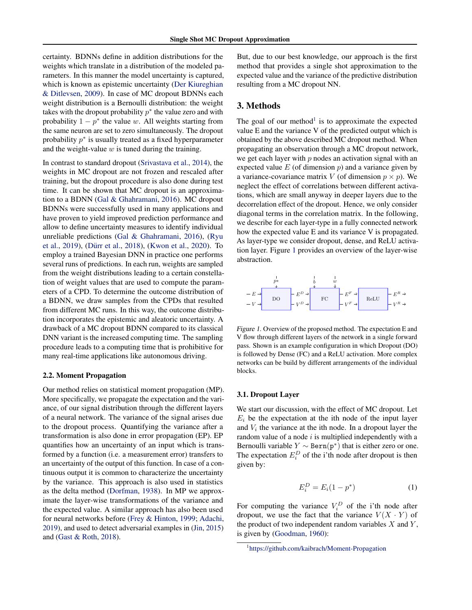certainty. BDNNs define in addition distributions for the weights which translate in a distribution of the modeled parameters. In this manner the model uncertainty is captured, which is known as epistemic uncertainty [\(Der Kiureghian](#page-4-0) [& Ditlevsen,](#page-4-0) [2009\)](#page-4-0). In case of MC dropout BDNNs each weight distribution is a Bernoulli distribution: the weight takes with the dropout probability  $p^*$  the value zero and with probability  $1 - p^*$  the value w. All weights starting from the same neuron are set to zero simultaneously. The dropout probability  $p^*$  is usually treated as a fixed hyperparameter and the weight-value  $w$  is tuned during the training.

In contrast to standard dropout [\(Srivastava et al.,](#page-5-0) [2014\)](#page-5-0), the weights in MC dropout are not frozen and rescaled after training, but the dropout procedure is also done during test time. It can be shown that MC dropout is an approximation to a BDNN [\(Gal & Ghahramani,](#page-4-0) [2016\)](#page-4-0). MC dropout BDNNs were successfully used in many applications and have proven to yield improved prediction performance and allow to define uncertainty measures to identify individual unreliable predictions [\(Gal & Ghahramani,](#page-4-0) [2016\)](#page-4-0), [\(Ryu](#page-5-0) [et al.,](#page-5-0) [2019\)](#page-5-0), (Dürr et al., [2018\)](#page-4-0), [\(Kwon et al.,](#page-4-0) [2020\)](#page-4-0). To employ a trained Bayesian DNN in practice one performs several runs of predictions. In each run, weights are sampled from the weight distributions leading to a certain constellation of weight values that are used to compute the parameters of a CPD. To determine the outcome distribution of a BDNN, we draw samples from the CPDs that resulted from different MC runs. In this way, the outcome distribution incorporates the epistemic and aleatoric uncertainty. A drawback of a MC dropout BDNN compared to its classical DNN variant is the increased computing time. The sampling procedure leads to a computing time that is prohibitive for many real-time applications like autonomous driving.

#### 2.2. Moment Propagation

Our method relies on statistical moment propagation (MP). More specifically, we propagate the expectation and the variance, of our signal distribution through the different layers of a neural network. The variance of the signal arises due to the dropout process. Quantifying the variance after a transformation is also done in error propagation (EP). EP quantifies how an uncertainty of an input which is transformed by a function (i.e. a measurement error) transfers to an uncertainty of the output of this function. In case of a continuous output it is common to characterize the uncertainty by the variance. This approach is also used in statistics as the delta method [\(Dorfman,](#page-4-0) [1938\)](#page-4-0). In MP we approximate the layer-wise transformations of the variance and the expected value. A similar approach has also been used for neural networks before [\(Frey & Hinton,](#page-4-0) [1999;](#page-4-0) [Adachi,](#page-4-0) [2019\)](#page-4-0), and used to detect adversarial examples in [\(Jin,](#page-4-0) [2015\)](#page-4-0) and [\(Gast & Roth,](#page-4-0) [2018\)](#page-4-0).

But, due to our best knowledge, our approach is the first method that provides a single shot approximation to the expected value and the variance of the predictive distribution resulting from a MC dropout NN.

## 3. Methods

The goal of our method<sup>1</sup> is to approximate the expected value E and the variance V of the predicted output which is obtained by the above described MC dropout method. When propagating an observation through a MC dropout network, we get each layer with  $p$  nodes an activation signal with an expected value  $E$  (of dimension  $p$ ) and a variance given by a variance-covariance matrix V (of dimension  $p \times p$ ). We neglect the effect of correlations between different activations, which are small anyway in deeper layers due to the decorrelation effect of the dropout. Hence, we only consider diagonal terms in the correlation matrix. In the following, we describe for each layer-type in a fully connected network how the expected value E and its variance V is propagated. As layer-type we consider dropout, dense, and ReLU activation layer. Figure 1 provides an overview of the layer-wise abstraction.



Figure 1. Overview of the proposed method. The expectation E and V flow through different layers of the network in a single forward pass. Shown is an example configuration in which Dropout (DO) is followed by Dense (FC) and a ReLU activation. More complex networks can be build by different arrangements of the individual blocks.

#### 3.1. Dropout Layer

We start our discussion, with the effect of MC dropout. Let  $E_i$  be the expectation at the ith node of the input layer and  $V_i$  the variance at the ith node. In a dropout layer the random value of a node  $i$  is multiplied independently with a Bernoulli variable  $Y \sim \text{Bern}(p^*)$  that is either zero or one. The expectation  $E_i^D$  of the i'th node after dropout is then given by:

$$
E_i^D = E_i(1 - p^*)
$$
 (1)

For computing the variance  $V_i^D$  of the i'th node after dropout, we use the fact that the variance  $V(X \cdot Y)$  of the product of two independent random variables  $X$  and  $Y$ , is given by [\(Goodman,](#page-4-0) [1960\)](#page-4-0):

<sup>1</sup> <https://github.com/kaibrach/Moment-Propagation>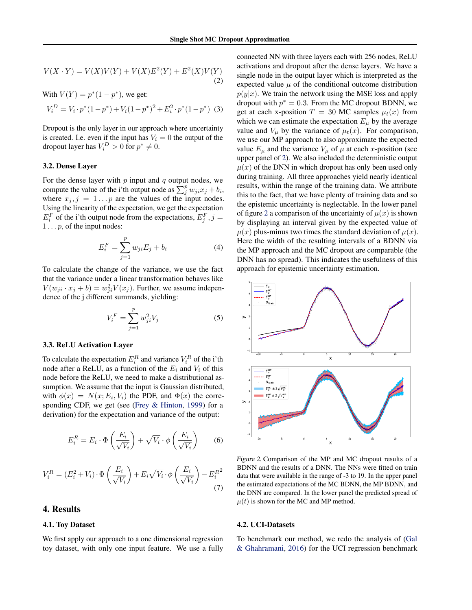$$
V(X \cdot Y) = V(X)V(Y) + V(X)E^{2}(Y) + E^{2}(X)V(Y)
$$
\n(2)

With  $V(Y) = p^*(1 - p^*)$ , we get:  $V_i^D = V_i \cdot p^*(1-p^*) + V_i(1-p^*)^2 + E_i^2 \cdot p^*(1-p^*)$  (3)

Dropout is the only layer in our approach where uncertainty is created. I.e. even if the input has  $V_i = 0$  the output of the dropout layer has  $V_i^D > 0$  for  $p^* \neq 0$ .

#### 3.2. Dense Layer

For the dense layer with  $p$  input and  $q$  output nodes, we compute the value of the i'th output node as  $\sum_j^p w_{ji} x_j + b_i$ , where  $x_j$ ,  $j = 1...p$  are the values of the input nodes. Using the linearity of the expectation, we get the expectation  $E_i^F$  of the i'th output node from the expectations,  $E_j^F$ ,  $j =$  $1 \ldots p$ , of the input nodes:

$$
E_i^F = \sum_{j=1}^p w_{ji} E_j + b_i
$$
 (4)

To calculate the change of the variance, we use the fact that the variance under a linear transformation behaves like  $V(w_{ji} \cdot x_j + b) = w_{ji}^2 V(x_j)$ . Further, we assume independence of the j different summands, yielding:

$$
V_i^F = \sum_{j=1}^p w_{ji}^2 V_j
$$
 (5)

#### 3.3. ReLU Activation Layer

To calculate the expectation  $E_i^R$  and variance  $V_i^R$  of the i'th node after a ReLU, as a function of the  $E_i$  and  $V_i$  of this node before the ReLU, we need to make a distributional assumption. We assume that the input is Gaussian distributed, with  $\phi(x) = N(x; E_i, V_i)$  the PDF, and  $\Phi(x)$  the corresponding CDF, we get (see [\(Frey & Hinton,](#page-4-0) [1999\)](#page-4-0) for a derivation) for the expectation and variance of the output:

$$
E_i^R = E_i \cdot \Phi\left(\frac{E_i}{\sqrt{V_i}}\right) + \sqrt{V_i} \cdot \phi\left(\frac{E_i}{\sqrt{V_i}}\right) \tag{6}
$$

$$
V_i^R = (E_i^2 + V_i) \cdot \Phi\left(\frac{E_i}{\sqrt{V_i}}\right) + E_i \sqrt{V_i} \cdot \phi\left(\frac{E_i}{\sqrt{V_i}}\right) - E_i^{R^2}
$$
\n(7)

# 4. Results

#### 4.1. Toy Dataset

We first apply our approach to a one dimensional regression toy dataset, with only one input feature. We use a fully connected NN with three layers each with 256 nodes, ReLU activations and dropout after the dense layers. We have a single node in the output layer which is interpreted as the expected value  $\mu$  of the conditional outcome distribution  $p(y|x)$ . We train the network using the MSE loss and apply dropout with  $p^* = 0.3$ . From the MC dropout BDNN, we get at each x-position  $T = 30$  MC samples  $\mu_t(x)$  from which we can estimate the expectation  $E_{\mu}$  by the average value and  $V_{\mu}$  by the variance of  $\mu_t(x)$ . For comparison, we use our MP approach to also approximate the expected value  $E_{\mu}$  and the variance  $V_{\mu}$  of  $\mu$  at each x-position (see upper panel of 2). We also included the deterministic output  $\mu(x)$  of the DNN in which dropout has only been used only during training. All three approaches yield nearly identical results, within the range of the training data. We attribute this to the fact, that we have plenty of training data and so the epistemic uncertainty is neglectable. In the lower panel of figure 2 a comparison of the uncertainty of  $\mu(x)$  is shown by displaying an interval given by the expected value of  $\mu(x)$  plus-minus two times the standard deviation of  $\mu(x)$ . Here the width of the resulting intervals of a BDNN via the MP approach and the MC dropout are comparable (the DNN has no spread). This indicates the usefulness of this approach for epistemic uncertainty estimation.



Figure 2. Comparison of the MP and MC dropout results of a BDNN and the results of a DNN. The NNs were fitted on train data that were available in the range of -3 to 19. In the upper panel the estimated expectations of the MC BDNN, the MP BDNN, and the DNN are compared. In the lower panel the predicted spread of  $\mu(t)$  is shown for the MC and MP method.

#### 4.2. UCI-Datasets

To benchmark our method, we redo the analysis of [\(Gal](#page-4-0) [& Ghahramani,](#page-4-0) [2016\)](#page-4-0) for the UCI regression benchmark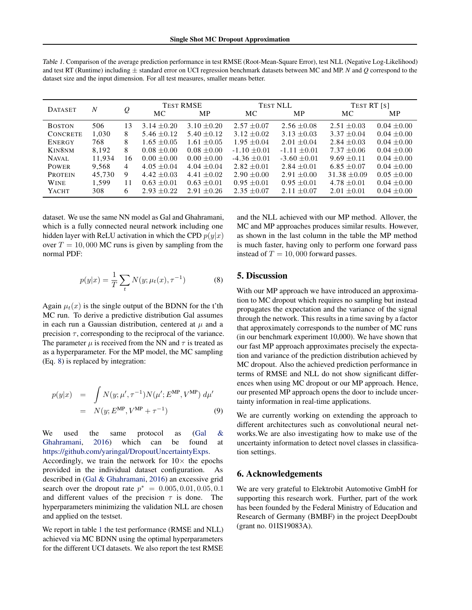| <b>DATASET</b>     | N      | $\varrho$      | <b>TEST RMSE</b> |                 | <b>TEST NLL</b> |                 | TEST RT [S]      |                 |
|--------------------|--------|----------------|------------------|-----------------|-----------------|-----------------|------------------|-----------------|
|                    |        |                | MC.              | <b>MP</b>       | МC              | <b>MP</b>       | МC               | <b>MP</b>       |
| <b>BOSTON</b>      | 506    | 13             | $3.14 \pm 0.20$  | $3.10 \pm 0.20$ | $2.57 + 0.07$   | $2.56 + 0.08$   | $2.51 \pm 0.03$  | $0.04 \pm 0.00$ |
| <b>CONCRETE</b>    | 1.030  | 8              | $5.46 \pm 0.12$  | $5.40 \pm 0.12$ | $3.12 + 0.02$   | $3.13 \pm 0.03$ | $3.37 \pm 0.04$  | $0.04 \pm 0.00$ |
| <b>ENERGY</b>      | 768    | 8              | $1.65 + 0.05$    | $1.61 + 0.05$   | $1.95 \pm 0.04$ | $2.01 + 0.04$   | $2.84 + 0.03$    | $0.04 + 0.00$   |
| KIN8 <sub>NM</sub> | 8.192  | 8              | $0.08 + 0.00$    | $0.08 + 0.00$   | $-1.10 + 0.01$  | $-1.11 + 0.01$  | $7.37 + 0.06$    | $0.04 + 0.00$   |
| NAVAL.             | 11.934 | 16             | $0.00 \pm 0.00$  | $0.00 + 0.00$   | $-4.36 + 0.01$  | $-3.60 + 0.01$  | $9.69 \pm 0.11$  | $0.04 \pm 0.00$ |
| <b>POWER</b>       | 9.568  | $\overline{4}$ | $4.05 \pm 0.04$  | $4.04 \pm 0.04$ | $2.82 \pm 0.01$ | $2.84 \pm 0.01$ | $6.85 \pm 0.07$  | $0.04 \pm 0.00$ |
| <b>PROTEIN</b>     | 45.730 | 9              | $4.42 \pm 0.03$  | $4.41 + 0.02$   | $2.90 + 0.00$   | $2.91 + 0.00$   | $31.38 \pm 0.09$ | $0.05 \pm 0.00$ |
| <b>WINE</b>        | 1.599  | 11             | $0.63 + 0.01$    | $0.63 + 0.01$   | $0.95 + 0.01$   | $0.95 + 0.01$   | $4.78 + 0.01$    | $0.04 + 0.00$   |
| <b>YACHT</b>       | 308    | 6              | $2.93 + 0.22$    | $2.91 + 0.26$   | $2.35 + 0.07$   | $2.11 + 0.07$   | $2.01 + 0.01$    | $0.04 \pm 0.00$ |

Table 1. Comparison of the average prediction performance in test RMSE (Root-Mean-Square Error), test NLL (Negative Log-Likelihood) and test RT (Runtime) including ± standard error on UCI regression benchmark datasets between MC and MP. *N* and *Q* correspond to the dataset size and the input dimension. For all test measures, smaller means better.

dataset. We use the same NN model as Gal and Ghahramani, which is a fully connected neural network including one hidden layer with ReLU activation in which the CPD  $p(y|x)$ over  $T = 10,000$  MC runs is given by sampling from the normal PDF:

$$
p(y|x) = \frac{1}{T} \sum_{t} N(y; \mu_t(x), \tau^{-1})
$$
 (8)

Again  $\mu_t(x)$  is the single output of the BDNN for the t'th MC run. To derive a predictive distribution Gal assumes in each run a Gaussian distribution, centered at  $\mu$  and a precision  $\tau$ , corresponding to the reciprocal of the variance. The parameter  $\mu$  is received from the NN and  $\tau$  is treated as as a hyperparameter. For the MP model, the MC sampling (Eq. 8) is replaced by integration:

$$
p(y|x) = \int N(y; \mu', \tau^{-1}) N(\mu'; E^{MP}, V^{MP}) d\mu'
$$
  
=  $N(y; E^{MP}, V^{MP} + \tau^{-1})$  (9)

We used the same protocol as [\(Gal &](#page-4-0) [Ghahramani,](#page-4-0) [2016\)](#page-4-0) which can be found at [https://github.com/yaringal/DropoutUncertaintyExps.](https://github.com/yaringal/DropoutUncertaintyExps)

Accordingly, we train the network for  $10\times$  the epochs provided in the individual dataset configuration. As described in [\(Gal & Ghahramani,](#page-4-0) [2016\)](#page-4-0) an excessive grid search over the dropout rate  $p^* = 0.005, 0.01, 0.05, 0.1$ and different values of the precision  $\tau$  is done. The hyperparameters minimizing the validation NLL are chosen and applied on the testset.

We report in table 1 the test performance (RMSE and NLL) achieved via MC BDNN using the optimal hyperparameters for the different UCI datasets. We also report the test RMSE

and the NLL achieved with our MP method. Allover, the MC and MP approaches produces similar results. However, as shown in the last column in the table the MP method is much faster, having only to perform one forward pass instead of  $T = 10,000$  forward passes.

# 5. Discussion

With our MP approach we have introduced an approximation to MC dropout which requires no sampling but instead propagates the expectation and the variance of the signal through the network. This results in a time saving by a factor that approximately corresponds to the number of MC runs (in our benchmark experiment 10,000). We have shown that our fast MP approach approximates precisely the expectation and variance of the prediction distribution achieved by MC dropout. Also the achieved prediction performance in terms of RMSE and NLL do not show significant differences when using MC dropout or our MP approach. Hence, our presented MP approach opens the door to include uncertainty information in real-time applications.

We are currently working on extending the approach to different architectures such as convolutional neural networks.We are also investigating how to make use of the uncertainty information to detect novel classes in classification settings.

### 6. Acknowledgements

We are very grateful to Elektrobit Automotive GmbH for supporting this research work. Further, part of the work has been founded by the Federal Ministry of Education and Research of Germany (BMBF) in the project DeepDoubt (grant no. 01IS19083A).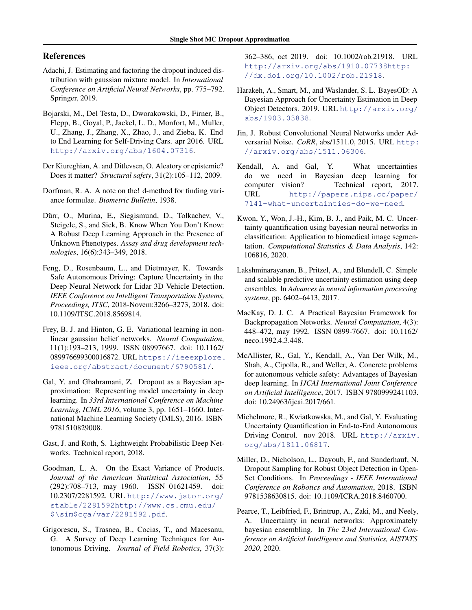### <span id="page-4-0"></span>References

- Adachi, J. Estimating and factoring the dropout induced distribution with gaussian mixture model. In *International Conference on Artificial Neural Networks*, pp. 775–792. Springer, 2019.
- Bojarski, M., Del Testa, D., Dworakowski, D., Firner, B., Flepp, B., Goyal, P., Jackel, L. D., Monfort, M., Muller, U., Zhang, J., Zhang, X., Zhao, J., and Zieba, K. End to End Learning for Self-Driving Cars. apr 2016. URL <http://arxiv.org/abs/1604.07316>.
- Der Kiureghian, A. and Ditlevsen, O. Aleatory or epistemic? Does it matter? *Structural safety*, 31(2):105–112, 2009.
- Dorfman, R. A. A note on the! d-method for finding variance formulae. *Biometric Bulletin*, 1938.
- Dürr, O., Murina, E., Siegismund, D., Tolkachev, V., Steigele, S., and Sick, B. Know When You Don't Know: A Robust Deep Learning Approach in the Presence of Unknown Phenotypes. *Assay and drug development technologies*, 16(6):343–349, 2018.
- Feng, D., Rosenbaum, L., and Dietmayer, K. Towards Safe Autonomous Driving: Capture Uncertainty in the Deep Neural Network for Lidar 3D Vehicle Detection. *IEEE Conference on Intelligent Transportation Systems, Proceedings, ITSC*, 2018-Novem:3266–3273, 2018. doi: 10.1109/ITSC.2018.8569814.
- Frey, B. J. and Hinton, G. E. Variational learning in nonlinear gaussian belief networks. *Neural Computation*, 11(1):193–213, 1999. ISSN 08997667. doi: 10.1162/ 089976699300016872. URL [https://ieeexplore.](https://ieeexplore.ieee.org/abstract/document/6790581/) [ieee.org/abstract/document/6790581/](https://ieeexplore.ieee.org/abstract/document/6790581/).
- Gal, Y. and Ghahramani, Z. Dropout as a Bayesian approximation: Representing model uncertainty in deep learning. In *33rd International Conference on Machine Learning, ICML 2016*, volume 3, pp. 1651–1660. International Machine Learning Society (IMLS), 2016. ISBN 9781510829008.
- Gast, J. and Roth, S. Lightweight Probabilistic Deep Networks. Technical report, 2018.
- Goodman, L. A. On the Exact Variance of Products. *Journal of the American Statistical Association*, 55 (292):708–713, may 1960. ISSN 01621459. doi: 10.2307/2281592. URL [http://www.jstor.org/](http://www.jstor.org/stable/2281592 http://www.cs.cmu.edu/$\sim $cga/var/2281592.pdf) [stable/2281592http://www.cs.cmu.edu/](http://www.jstor.org/stable/2281592 http://www.cs.cmu.edu/$\sim $cga/var/2281592.pdf) [\\$\sim\\$cga/var/2281592.pdf](http://www.jstor.org/stable/2281592 http://www.cs.cmu.edu/$\sim $cga/var/2281592.pdf).
- Grigorescu, S., Trasnea, B., Cocias, T., and Macesanu, G. A Survey of Deep Learning Techniques for Autonomous Driving. *Journal of Field Robotics*, 37(3):

362–386, oct 2019. doi: 10.1002/rob.21918. URL [http://arxiv.org/abs/1910.07738http:](http://arxiv.org/abs/1910.07738 http://dx.doi.org/10.1002/rob.21918) [//dx.doi.org/10.1002/rob.21918](http://arxiv.org/abs/1910.07738 http://dx.doi.org/10.1002/rob.21918).

- Harakeh, A., Smart, M., and Waslander, S. L. BayesOD: A Bayesian Approach for Uncertainty Estimation in Deep Object Detectors. 2019. URL [http://arxiv.org/](http://arxiv.org/abs/1903.03838) [abs/1903.03838](http://arxiv.org/abs/1903.03838).
- Jin, J. Robust Convolutional Neural Networks under Adversarial Noise. *CoRR*, abs/1511.0, 2015. URL [http:](http://arxiv.org/abs/1511.06306) [//arxiv.org/abs/1511.06306](http://arxiv.org/abs/1511.06306).
- Kendall, A. and Gal, Y. What uncertainties do we need in Bayesian deep learning for computer vision? Technical report, 2017. URL [http://papers.nips.cc/paper/](http://papers.nips.cc/paper/7141-what-uncertainties-do-we-need) [7141-what-uncertainties-do-we-need](http://papers.nips.cc/paper/7141-what-uncertainties-do-we-need).
- Kwon, Y., Won, J.-H., Kim, B. J., and Paik, M. C. Uncertainty quantification using bayesian neural networks in classification: Application to biomedical image segmentation. *Computational Statistics & Data Analysis*, 142: 106816, 2020.
- Lakshminarayanan, B., Pritzel, A., and Blundell, C. Simple and scalable predictive uncertainty estimation using deep ensembles. In *Advances in neural information processing systems*, pp. 6402–6413, 2017.
- MacKay, D. J. C. A Practical Bayesian Framework for Backpropagation Networks. *Neural Computation*, 4(3): 448–472, may 1992. ISSN 0899-7667. doi: 10.1162/ neco.1992.4.3.448.
- McAllister, R., Gal, Y., Kendall, A., Van Der Wilk, M., Shah, A., Cipolla, R., and Weller, A. Concrete problems for autonomous vehicle safety: Advantages of Bayesian deep learning. In *IJCAI International Joint Conference on Artificial Intelligence*, 2017. ISBN 9780999241103. doi: 10.24963/ijcai.2017/661.
- Michelmore, R., Kwiatkowska, M., and Gal, Y. Evaluating Uncertainty Quantification in End-to-End Autonomous Driving Control. nov 2018. URL [http://arxiv.](http://arxiv.org/abs/1811.06817) [org/abs/1811.06817](http://arxiv.org/abs/1811.06817).
- Miller, D., Nicholson, L., Dayoub, F., and Sunderhauf, N. Dropout Sampling for Robust Object Detection in Open-Set Conditions. In *Proceedings - IEEE International Conference on Robotics and Automation*, 2018. ISBN 9781538630815. doi: 10.1109/ICRA.2018.8460700.
- Pearce, T., Leibfried, F., Brintrup, A., Zaki, M., and Neely, A. Uncertainty in neural networks: Approximately bayesian ensembling. In *The 23rd International Conference on Artificial Intelligence and Statistics, AISTATS 2020*, 2020.